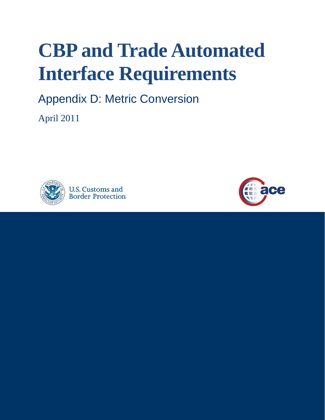## **CBP and Trade Automated Interface Requirements**

Appendix D: Metric Conversion

April 2011



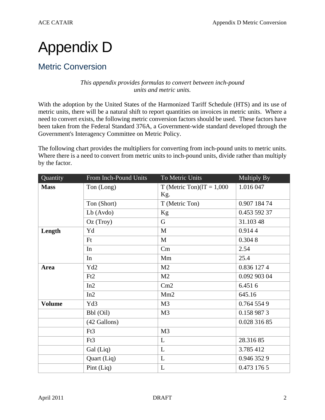## Appendix D

## Metric Conversion

## *This appendix provides formulas to convert between inch-pound units and metric units.*

 Government's Interagency Committee on Metric Policy. With the adoption by the United States of the Harmonized Tariff Schedule (HTS) and its use of metric units, there will be a natural shift to report quantities on invoices in metric units. Where a need to convert exists, the following metric conversion factors should be used. These factors have been taken from the Federal Standard 376A, a Government-wide standard developed through the

 Where there is a need to convert from metric units to inch-pound units, divide rather than multiply The following chart provides the multipliers for converting from inch-pound units to metric units. by the factor.

| Quantity      | From Inch-Pound Units | To Metric Units              | Multiply By  |
|---------------|-----------------------|------------------------------|--------------|
| <b>Mass</b>   | Ton (Long)            | T (Metric Ton) $(1T = 1,000$ | 1.016 047    |
|               |                       | Kg.                          |              |
|               | Ton (Short)           | T (Metric Ton)               | 0.907 184 74 |
|               | $Lb$ (Avdo)           | Kg                           | 0.453 592 37 |
|               | Oz (Troy)             | $\mathsf G$                  | 31.103 48    |
| Length        | Yd                    | M                            | 0.9144       |
|               | Ft                    | $\mathbf{M}$                 | 0.3048       |
|               | In                    | Cm                           | 2.54         |
|               | In                    | Mm                           | 25.4         |
| <b>Area</b>   | Yd2                   | M <sub>2</sub>               | 0.836 127 4  |
|               | Ft2                   | M <sub>2</sub>               | 0.092 903 04 |
|               | In2                   | Cm2                          | 6.4516       |
|               | In2                   | Mm2                          | 645.16       |
| <b>Volume</b> | Yd3                   | M <sub>3</sub>               | 0.764 554 9  |
|               | Bbl (Oil)             | M <sub>3</sub>               | 0.158 987 3  |
|               | (42 Gallons)          |                              | 0.028 316 85 |
|               | Ft3                   | M <sub>3</sub>               |              |
|               | Ft3                   | L                            | 28.31685     |
|               | Gal (Liq)             | L                            | 3.785 412    |
|               | Quart (Liq)           | L                            | 0.946 352 9  |
|               | Pint $(Liq)$          | L                            | 0.473 176 5  |